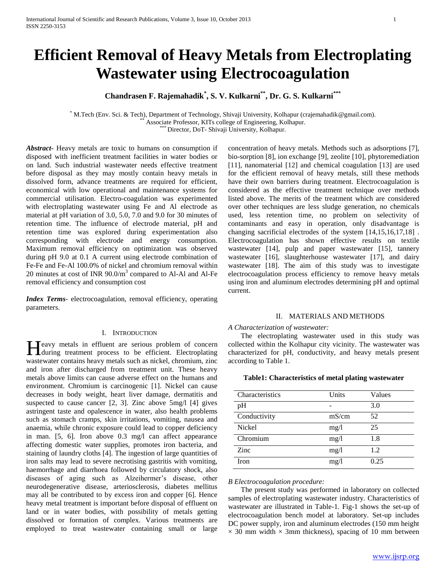# **Efficient Removal of Heavy Metals from Electroplating Wastewater using Electrocoagulation**

**Chandrasen F. Rajemahadik\* , S. V. Kulkarni\*\*, Dr. G. S. Kulkarni\*\*\***

\* M.Tech (Env. Sci. & Tech), Department of Technology, Shivaji University, Kolhapur (crajemahadik@gmail.com). Associate Professor, KITs college of Engineering, Kolhapur.

Director, DoT- Shivaji University, Kolhapur.

*Abstract***-** Heavy metals are toxic to humans on consumption if disposed with inefficient treatment facilities in water bodies or on land. Such industrial wastewater needs effective treatment before disposal as they may mostly contain heavy metals in dissolved form, advance treatments are required for efficient, economical with low operational and maintenance systems for commercial utilisation. Electro-coagulation was experimented with electroplating wastewater using Fe and Al electrode as material at pH variation of 3.0, 5.0, 7.0 and 9.0 for 30 minutes of retention time. The influence of electrode material, pH and retention time was explored during experimentation also corresponding with electrode and energy consumption. Maximum removal efficiency on optimization was observed during pH 9.0 at 0.1 A current using electrode combination of Fe-Fe and Fe-Al 100.0% of nickel and chromium removal within 20 minutes at cost of INR  $90.0/m<sup>3</sup>$  compared to Al-Al and Al-Fe removal efficiency and consumption cost

*Index Terms*- electrocoagulation, removal efficiency, operating parameters.

## I. INTRODUCTION

Teavy metals in effluent are serious problem of concern Heavy metals in effluent are serious problem of concern<br>during treatment process to be efficient. Electroplating wastewater contains heavy metals such as nickel, chromium, zinc and iron after discharged from treatment unit. These heavy metals above limits can cause adverse effect on the humans and environment. Chromium is carcinogenic [1]. Nickel can cause decreases in body weight, heart liver damage, dermatitis and suspected to cause cancer [2, 3]. Zinc above 5mg/l [4] gives astringent taste and opalescence in water, also health problems such as stomach cramps, skin irritations, vomiting, nausea and anaemia, while chronic exposure could lead to copper deficiency in man. [5, 6]. Iron above 0.3 mg/l can affect appearance affecting domestic water supplies, promotes iron bacteria, and staining of laundry cloths [4]. The ingestion of large quantities of iron salts may lead to severe necrotising gastritis with vomiting, haemorrhage and diarrhoea followed by circulatory shock, also diseases of aging such as Alzeihermer's disease, other neurodegenerative disease, arteriosclerosis, diabetes mellitus may all be contributed to by excess iron and copper [6]. Hence heavy metal treatment is important before disposal of effluent on land or in water bodies, with possibility of metals getting dissolved or formation of complex. Various treatments are employed to treat wastewater containing small or large

concentration of heavy metals. Methods such as adsorptions [7], bio-sorption [8], ion exchange [9], zeolite [10], phytoremediation [11], nanomaterial [12] and chemical coagulation [13] are used for the efficient removal of heavy metals, still these methods have their own barriers during treatment. Electrocoagulation is considered as the effective treatment technique over methods listed above. The merits of the treatment which are considered over other techniques are less sludge generation, no chemicals used, less retention time, no problem on selectivity of contaminants and easy in operation, only disadvantage is changing sacrificial electrodes of the system [14,15,16,17,18] . Electrocoagulation has shown effective results on textile wastewater [14], pulp and paper wastewater [15], tannery wastewater [16], slaughterhouse wastewater [17], and dairy wastewater [18]. The aim of this study was to investigate electrocoagulation process efficiency to remove heavy metals using iron and aluminum electrodes determining pH and optimal current.

## II. MATERIALS AND METHODS

#### *A Characterization of wastewater:*

 The electroplating wastewater used in this study was collected within the Kolhapur city vicinity. The wastewater was characterized for pH, conductivity, and heavy metals present according to Table 1.

## **Table1: Characteristics of metal plating wastewater**

| Characteristics | Units | Values |
|-----------------|-------|--------|
| pH              |       | 3.0    |
| Conductivity    | mS/cm | 52     |
| <b>Nickel</b>   | mg/l  | 25     |
| Chromium        | mg/l  | 1.8    |
| Zinc            | mg/l  | 1.2    |
| Iron            | mg/l  | 0.25   |

*B Electrocoagulation procedure:*

 The present study was performed in laboratory on collected samples of electroplating wastewater industry. Characteristics of wastewater are illustrated in Table-1. Fig-1 shows the set-up of electrocoagulation bench model at laboratory. Set-up includes DC power supply, iron and aluminum electrodes (150 mm height  $\times$  30 mm width  $\times$  3mm thickness), spacing of 10 mm between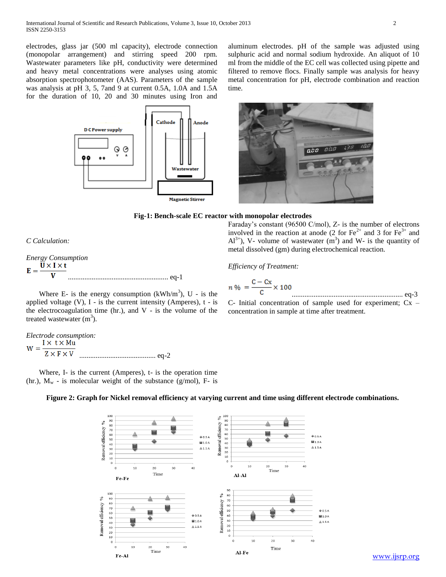electrodes, glass jar (500 ml capacity), electrode connection (monopolar arrangement) and stirring speed 200 rpm. Wastewater parameters like pH, conductivity were determined and heavy metal concentrations were analyses using atomic absorption spectrophotometer (AAS). Parameters of the sample was analysis at pH 3, 5, 7and 9 at current 0.5A, 1.0A and 1.5A for the duration of 10, 20 and 30 minutes using Iron and

aluminum electrodes. pH of the sample was adjusted using sulphuric acid and normal sodium hydroxide. An aliquot of 10 ml from the middle of the EC cell was collected using pipette and filtered to remove flocs. Finally sample was analysis for heavy metal concentration for pH, electrode combination and reaction time.





metal dissolved (gm) during electrochemical reaction.

*Efficiency of Treatment:* 

### **Fig-1: Bench-scale EC reactor with monopolar electrodes**

*C Calculation:*

*Energy Consumption*   $U \times I \times t$  $E =$ ....................................................... eq-1

Where E- is the energy consumption  $(kWh/m^3)$ , U - is the applied voltage  $(V)$ , I - is the current intensity (Amperes),  $t - is$ the electrocoagulation time (hr.), and  $V -$  is the volume of the treated wastewater  $(m<sup>3</sup>)$ .

*Electrode consumption:*  $Z \times F \times V$ .......................................... eq-2

 Where, I- is the current (Amperes), t- is the operation time (hr.),  $M_w$  - is molecular weight of the substance (g/mol), F- is



Faraday's constant (96500 C/mol), Z- is the number of electrons involved in the reaction at anode (2 for  $\text{Fe}^{2+}$  and 3 for  $\text{Fe}^{3+}$  and  $Al^{3+}$ ), V- volume of wastewater (m<sup>3</sup>) and W- is the quantity of

C- Initial concentration of sample used for experiment; Cx – concentration in sample at time after treatment.



**Figure 2: Graph for Nickel removal efficiency at varying current and time using different electrode combinations.**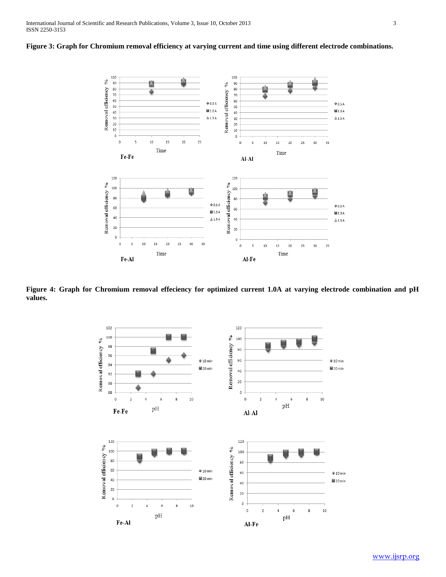



**Figure 4: Graph for Chromium removal effeciency for optimized current 1.0A at varying electrode combination and pH values.** 

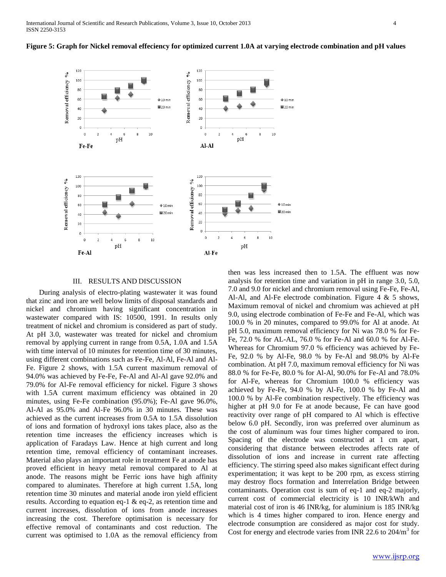



#### III. RESULTS AND DISCUSSION

 During analysis of electro-plating wastewater it was found that zinc and iron are well below limits of disposal standards and nickel and chromium having significant concentration in wastewater compared with IS: 10500, 1991. In results only treatment of nickel and chromium is considered as part of study. At pH 3.0, wastewater was treated for nickel and chromium removal by applying current in range from 0.5A, 1.0A and 1.5A with time interval of 10 minutes for retention time of 30 minutes, using different combinations such as Fe-Fe, Al-Al, Fe-Al and Al-Fe. Figure 2 shows, with 1.5A current maximum removal of 94.0% was achieved by Fe-Fe, Fe-Al and Al-Al gave 92.0% and 79.0% for Al-Fe removal efficiency for nickel. Figure 3 shows with 1.5A current maximum efficiency was obtained in 20 minutes, using Fe-Fe combination (95.0%); Fe-Al gave 96.0%, Al-Al as 95.0% and Al-Fe 96.0% in 30 minutes. These was achieved as the current increases from 0.5A to 1.5A dissolution of ions and formation of hydroxyl ions takes place, also as the retention time increases the efficiency increases which is application of Faradays Law. Hence at high current and long retention time, removal efficiency of contaminant increases. Material also plays an important role in treatment Fe at anode has proved efficient in heavy metal removal compared to Al at anode. The reasons might be Ferric ions have high affinity compared to aluminates. Therefore at high current 1.5A, long retention time 30 minutes and material anode iron yield efficient results. According to equation eq-1 & eq-2, as retention time and current increases, dissolution of ions from anode increases increasing the cost. Therefore optimisation is necessary for effective removal of contaminants and cost reduction. The current was optimised to 1.0A as the removal efficiency from

then was less increased then to 1.5A. The effluent was now analysis for retention time and variation in pH in range 3.0, 5.0, 7.0 and 9.0 for nickel and chromium removal using Fe-Fe, Fe-Al, Al-Al, and Al-Fe electrode combination. Figure 4 & 5 shows, Maximum removal of nickel and chromium was achieved at pH 9.0, using electrode combination of Fe-Fe and Fe-Al, which was 100.0 % in 20 minutes, compared to 99.0% for Al at anode. At pH 5.0, maximum removal efficiency for Ni was 78.0 % for Fe-Fe, 72.0 % for AL-AL, 76.0 % for Fe-Al and 60.0 % for Al-Fe. Whereas for Chromium 97.0 % efficiency was achieved by Fe-Fe, 92.0 % by Al-Fe, 98.0 % by Fe-Al and 98.0% by Al-Fe combination. At pH 7.0, maximum removal efficiency for Ni was 88.0 % for Fe-Fe, 80.0 % for Al-Al, 90.0% for Fe-Al and 78.0% for Al-Fe, whereas for Chromium 100.0 % efficiency was achieved by Fe-Fe, 94.0 % by Al-Fe, 100.0 % by Fe-Al and 100.0 % by Al-Fe combination respectively. The efficiency was higher at pH 9.0 for Fe at anode because, Fe can have good reactivity over range of pH compared to Al which is effective below 6.0 pH. Secondly, iron was preferred over aluminum as the cost of aluminum was four times higher compared to iron. Spacing of the electrode was constructed at 1 cm apart, considering that distance between electrodes affects rate of dissolution of ions and increase in current rate affecting efficiency. The stirring speed also makes significant effect during experimentation; it was kept to be 200 rpm, as excess stirring may destroy flocs formation and Interrelation Bridge between contaminants. Operation cost is sum of eq-1 and eq-2 majorly, current cost of commercial electricity is 10 INR/kWh and material cost of iron is 46 INR/kg, for aluminium is 185 INR/kg which is 4 times higher compared to iron. Hence energy and electrode consumption are considered as major cost for study. Cost for energy and electrode varies from INR 22.6 to  $204/m^3$  for